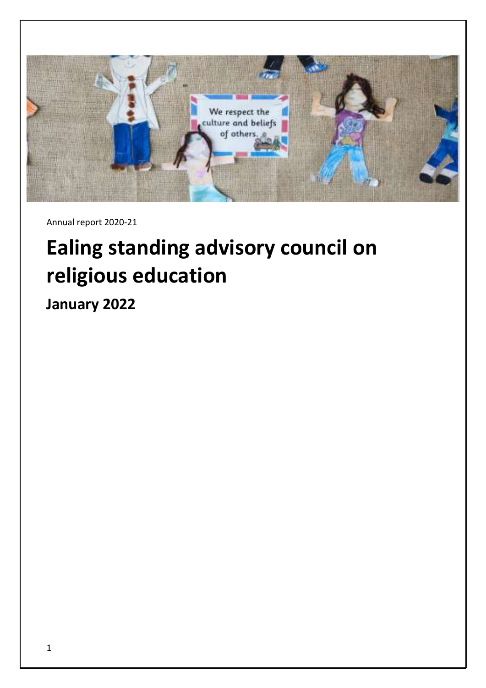

Annual report 2020-21

# <span id="page-0-0"></span>**Ealing standing advisory council on religious education**

**January 2022**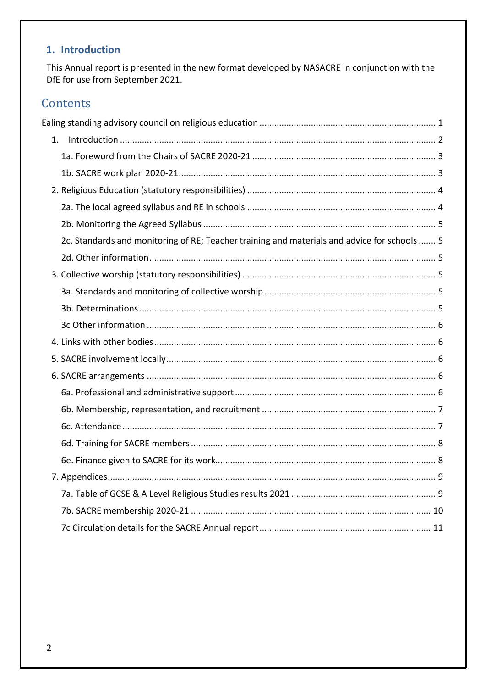# <span id="page-1-0"></span>1. Introduction

This Annual report is presented in the new format developed by NASACRE in conjunction with the DfE for use from September 2021.

# Contents

<span id="page-1-1"></span>

| 2c. Standards and monitoring of RE; Teacher training and materials and advice for schools  5 |  |
|----------------------------------------------------------------------------------------------|--|
|                                                                                              |  |
|                                                                                              |  |
|                                                                                              |  |
|                                                                                              |  |
|                                                                                              |  |
|                                                                                              |  |
|                                                                                              |  |
|                                                                                              |  |
|                                                                                              |  |
|                                                                                              |  |
|                                                                                              |  |
|                                                                                              |  |
|                                                                                              |  |
|                                                                                              |  |
|                                                                                              |  |
|                                                                                              |  |
|                                                                                              |  |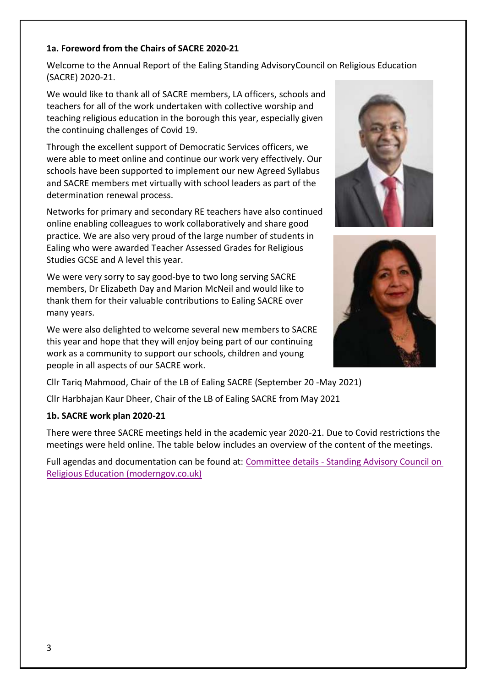#### **1a. Foreword from the Chairs of SACRE 2020-21**

Welcome to the Annual Report of the Ealing Standing AdvisoryCouncil on Religious Education (SACRE) 2020-21.

We would like to thank all of SACRE members, LA officers, schools and teachers for all of the work undertaken with collective worship and teaching religious education in the borough this year, especially given the continuing challenges of Covid 19.

Through the excellent support of Democratic Services officers, we were able to meet online and continue our work very effectively. Our schools have been supported to implement our new Agreed Syllabus and SACRE members met virtually with school leaders as part of the determination renewal process.

Networks for primary and secondary RE teachers have also continued online enabling colleagues to work collaboratively and share good practice. We are also very proud of the large number of students in Ealing who were awarded Teacher Assessed Grades for Religious Studies GCSE and A level this year.

We were very sorry to say good-bye to two long serving SACRE members, Dr Elizabeth Day and Marion McNeil and would like to thank them for their valuable contributions to Ealing SACRE over many years.

We were also delighted to welcome several new members to SACRE this year and hope that they will enjoy being part of our continuing work as a community to support our schools, children and young people in all aspects of our SACRE work.

Cllr Tariq Mahmood, Chair of the LB of Ealing SACRE (September 20 -May 2021)

Cllr Harbhajan Kaur Dheer, Chair of the LB of Ealing SACRE from May 2021

#### <span id="page-2-0"></span>**1b. SACRE work plan 2020-21**

There were three SACRE meetings held in the academic year 2020-21. Due to Covid restrictions the meetings were held online. The table below includes an overview of the content of the meetings.

Full agendas and documentation can be found at: Committee details - [Standing Advisory Council on](https://ealing.moderngov.co.uk/mgCommitteeDetails.aspx?ID=187)  [Religious Education \(moderngov.co.uk\)](https://ealing.moderngov.co.uk/mgCommitteeDetails.aspx?ID=187)



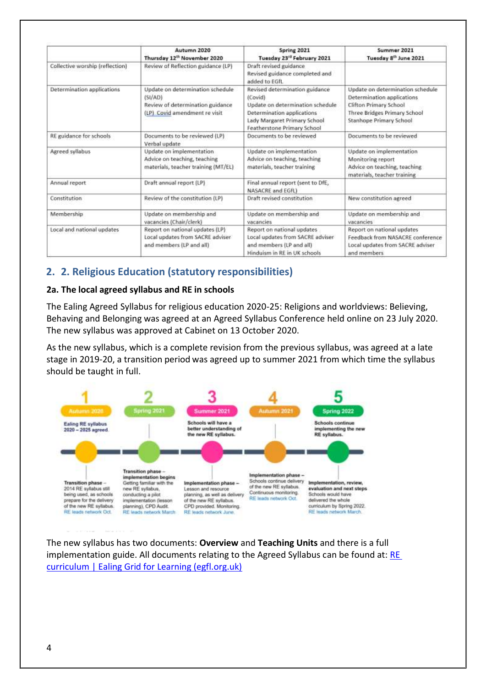|                                 | Autumn 2020<br>Thursday 12 <sup>th</sup> November 2020                                                           | Spring 2021<br>Tuesday 23 <sup>rd</sup> February 2021                                                                                                                      | Summer 2021<br>Tuesday 8 <sup>th</sup> June 2021                                                                                                    |
|---------------------------------|------------------------------------------------------------------------------------------------------------------|----------------------------------------------------------------------------------------------------------------------------------------------------------------------------|-----------------------------------------------------------------------------------------------------------------------------------------------------|
| Collective worship (reflection) | Review of Reflection guidance (LP)                                                                               | Draft revised guidance<br>Revised guidance completed and<br>added to EGfL                                                                                                  |                                                                                                                                                     |
| Determination applications      | Update on determination schedule<br>(51/AD)<br>Review of determination guidance<br>(LP) Covid amendment re visit | Revised determination guidance<br>(Covid)<br>Update on determination schedule<br>Determination applications<br>Lady Margaret Primary School<br>Featherstone Primary School | Update on determination schedule<br>Determination applications<br>Clifton Primary School<br>Three Bridges Primary School<br>Stanhope Primary School |
| RE guidance for schools         | Documents to be reviewed (LP)<br>Verbal update                                                                   | Documents to be reviewed                                                                                                                                                   | Documents to be reviewed                                                                                                                            |
| Agreed syllabus                 | Update on implementation<br>Advice on teaching, teaching<br>materials, teacher training (MT/EL)                  | Update on implementation<br>Advice on teaching, teaching<br>materials, teacher training                                                                                    | Update on implementation<br>Monitoring report<br>Advice on teaching, teaching<br>materials, teacher training                                        |
| Annual report                   | Draft annual report (LP)                                                                                         | Final annual report (sent to DfE,<br>NASACRE and EGfL)                                                                                                                     |                                                                                                                                                     |
| Constitution                    | Review of the constitution (LP)                                                                                  | Draft revised constitution                                                                                                                                                 | New constitution agreed                                                                                                                             |
| Membership                      | Update on membership and<br>vacancies (Chair/clerk)                                                              | Update on membership and<br>vacancies                                                                                                                                      | Update on membership and<br>vacancies                                                                                                               |
| Local and national updates      | Report on national updates (LP)<br>Local updates from SACRE adviser<br>and members (LP and all)                  | Report on national updates<br>Local updates from SACRE adviser<br>and members (LP and all)<br>Hinduism in RE in UK schools                                                 | Report on national updates<br>Feedback from NASACRE conference<br>Local updates from SACRE adviser<br>and members                                   |

## <span id="page-3-0"></span>**2. 2. Religious Education (statutory responsibilities)**

## <span id="page-3-1"></span>**2a. The local agreed syllabus and RE in schools**

The Ealing Agreed Syllabus for religious education 2020-25: Religions and worldviews: Believing, Behaving and Belonging was agreed at an Agreed Syllabus Conference held online on 23 July 2020. The new syllabus was approved at Cabinet on 13 October 2020.

As the new syllabus, which is a complete revision from the previous syllabus, was agreed at a late stage in 2019-20, a transition period was agreed up to summer 2021 from which time the syllabus should be taught in full.



<span id="page-3-2"></span>The new syllabus has two documents: **Overview** and **Teaching Units** and there is a full implementation guide. All documents relating to the Agreed Syllabus can be found at: RE [curriculum | Ealing Grid for Learning \(egfl.org.uk\)](https://www.egfl.org.uk/elp-services/teaching-and-learning/curriculum/curriculum-subjects/religious-education/re-3)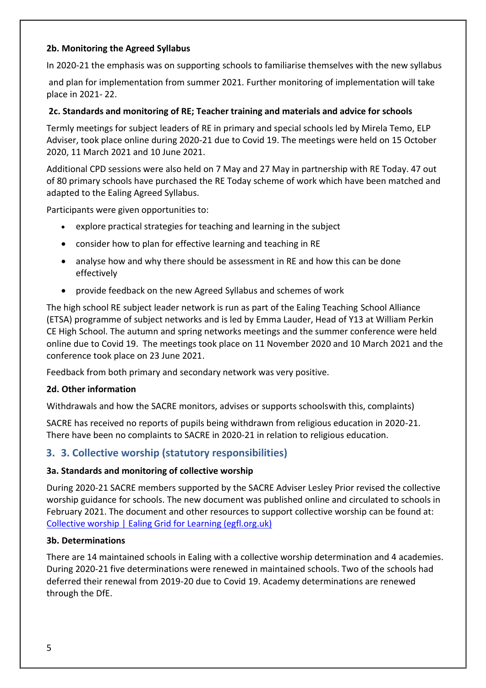#### **2b. Monitoring the Agreed Syllabus**

In 2020-21 the emphasis was on supporting schools to familiarise themselves with the new syllabus

and plan for implementation from summer 2021. Further monitoring of implementation will take place in 2021- 22.

#### <span id="page-4-0"></span>**2c. Standards and monitoring of RE; Teacher training and materials and advice for schools**

Termly meetings for subject leaders of RE in primary and special schools led by Mirela Temo, ELP Adviser, took place online during 2020-21 due to Covid 19. The meetings were held on 15 October 2020, 11 March 2021 and 10 June 2021.

Additional CPD sessions were also held on 7 May and 27 May in partnership with RE Today. 47 out of 80 primary schools have purchased the RE Today scheme of work which have been matched and adapted to the Ealing Agreed Syllabus.

Participants were given opportunities to:

- explore practical strategies for teaching and learning in the subject
- consider how to plan for effective learning and teaching in RE
- analyse how and why there should be assessment in RE and how this can be done effectively
- provide feedback on the new Agreed Syllabus and schemes of work

The high school RE subject leader network is run as part of the Ealing Teaching School Alliance (ETSA) programme of subject networks and is led by Emma Lauder, Head of Y13 at William Perkin CE High School. The autumn and spring networks meetings and the summer conference were held online due to Covid 19. The meetings took place on 11 November 2020 and 10 March 2021 and the conference took place on 23 June 2021.

Feedback from both primary and secondary network was very positive.

#### <span id="page-4-1"></span>**2d. Other information**

Withdrawals and how the SACRE monitors, advises or supports schoolswith this, complaints)

SACRE has received no reports of pupils being withdrawn from religious education in 2020-21. There have been no complaints to SACRE in 2020-21 in relation to religious education.

## <span id="page-4-2"></span>**3. 3. Collective worship (statutory responsibilities)**

#### <span id="page-4-3"></span>**3a. Standards and monitoring of collective worship**

During 2020-21 SACRE members supported by the SACRE Adviser Lesley Prior revised the collective worship guidance for schools. The new document was published online and circulated to schools in February 2021. The document and other resources to support collective worship can be found at: [Collective worship | Ealing Grid for Learning \(egfl.org.uk\)](https://www.egfl.org.uk/elp-services/teaching-and-learning/curriculum/curriculum-subjects/religious-education-0)

#### <span id="page-4-4"></span>**3b. Determinations**

There are 14 maintained schools in Ealing with a collective worship determination and 4 academies. During 2020-21 five determinations were renewed in maintained schools. Two of the schools had deferred their renewal from 2019-20 due to Covid 19. Academy determinations are renewed through the DfE.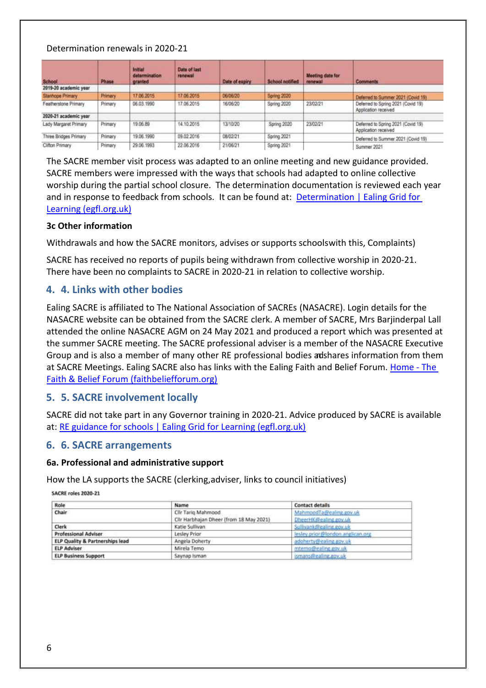#### Determination renewals in 2020-21

| School                  | <b>Phase</b> | Initial<br>determination<br>granted | Date of last<br>renewai | Date of expiry | School notified | Meeting date for<br>renewal | Comments                                                   |
|-------------------------|--------------|-------------------------------------|-------------------------|----------------|-----------------|-----------------------------|------------------------------------------------------------|
| 2019-20 academic year   |              |                                     |                         |                |                 |                             |                                                            |
| <b>Stanhooe Primary</b> | Primary      | 17.06.2015                          | 17.06.2015              | 06/06/20       | Spring 2020     |                             | Deferred to Summer 2021 (Covid 19)                         |
| Featherstone Primary    | Primary      | 06.03.1990                          | 17.06.2015              | 16/06/20       | Spring 2020     | 23/02/21                    | Deferred to Spring 2021 (Covid 19)<br>Application received |
| 2020-21 academic year   |              |                                     |                         |                |                 |                             |                                                            |
| Lady Margaret Primary   | Primary      | 19.06.89                            | 14.10.2015              | 13/10/20       | Spring 2020     | 23/02/21                    | Deferred to Spring 2021 (Covid 19)<br>Application received |
| Three Bridges Primary   | Primary      | 19.06.1990                          | 09.02.2016              | 08/02/21       | Spring 2021     |                             | Deferred to Summer 2021 (Covid 19)                         |
| Clifton Primary         | Primary      | 29.06.1993                          | 22.05.2016              | 21/06/21       | Spring 2021     |                             | Summer 2021                                                |

The SACRE member visit process was adapted to an online meeting and new guidance provided. SACRE members were impressed with the ways that schools had adapted to online collective worship during the partial school closure. The determination documentation is reviewed each year and in response to feedback from schools. It can be found at: Determination | Ealing Grid for [Learning \(egfl.org.uk\)](https://www.egfl.org.uk/elp-services/teaching-and-learning/curriculum/curriculum-subjects/religious-education-17)

#### <span id="page-5-0"></span>**3c Other information**

Withdrawals and how the SACRE monitors, advises or supports schoolswith this, Complaints)

SACRE has received no reports of pupils being withdrawn from collective worship in 2020-21. There have been no complaints to SACRE in 2020-21 in relation to collective worship.

## <span id="page-5-1"></span>**4. 4. Links with other bodies**

Ealing SACRE is affiliated to The National Association of SACREs (NASACRE). Login details for the NASACRE website can be obtained from the SACRE clerk. A member of SACRE, Mrs Barjinderpal Lall attended the online NASACRE AGM on 24 May 2021 and produced a report which was presented at the summer SACRE meeting. The SACRE professional adviser is a member of the NASACRE Executive Group and is also a member of many other RE professional bodies adshares information from them at SACRE Meetings. Ealing SACRE also has links with the Ealing Faith and Belief Forum. [Home -](https://faithbeliefforum.org/) The [Faith & Belief Forum \(faithbeliefforum.org\)](https://faithbeliefforum.org/)

## <span id="page-5-2"></span>**5. 5. SACRE involvement locally**

SACRE did not take part in any Governor training in 2020-21. Advice produced by SACRE is available at[: RE guidance for schools | Ealing Grid for Learning \(egfl.org.uk\)](https://www.egfl.org.uk/elp-services/teaching-and-learning/curriculum/curriculum-subjects/religious-education/re-12)

#### <span id="page-5-3"></span>**6. 6. SACRE arrangements**

#### <span id="page-5-4"></span>**6a. Professional and administrative support**

How the LA supports the SACRE (clerking,adviser, links to council initiatives)

**SACRE roles 2020-21** 

<span id="page-5-5"></span>

| Role                            | Name                                    | <b>Contact details</b>            |
|---------------------------------|-----------------------------------------|-----------------------------------|
| Chair                           | Cllr Tario Mahmood                      | MahmoodTa@ealing.gov.uk           |
|                                 | Clir Harbhajan Dheer (from 18 May 2021) | DheerHK@ealing.gov.uk             |
| Clerk                           | Katie Sullivan                          | Sullivank@ealing.gov.uk           |
| <b>Professional Adviser</b>     | Lesley Prior                            | lestev.prior@london.anglican.org  |
| ELP Quality & Partnerships lead | Angela Doherty                          | _______<br>adoherty@ealing.gov.uk |
| <b>ELP Adviser</b>              | Mirela Temo                             | mtemo@ealing.gov.uk               |
| <b>ELP Business Support</b>     | Saynap Isman                            | ismans@ealing.gov.uk              |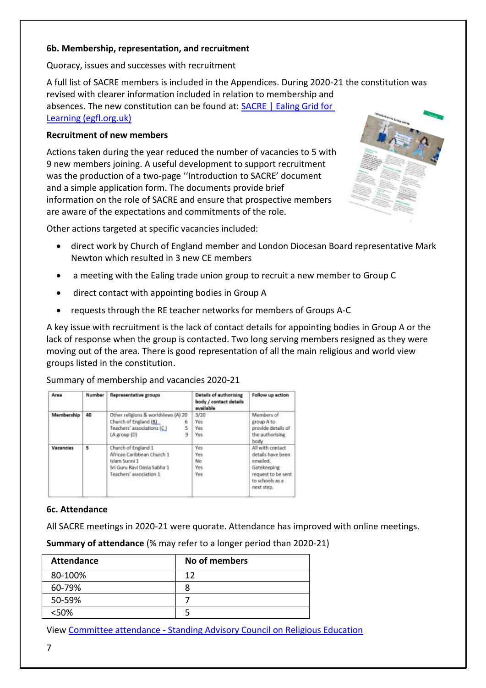#### **6b. Membership, representation, and recruitment**

Quoracy, issues and successes with recruitment

A full list of SACRE members is included in the Appendices. During 2020-21 the constitution was revised with clearer information included in relation to membership and absences. The new constitution can be found at: **SACRE** | Ealing Grid for [Learning \(egfl.org.uk\)](https://www.egfl.org.uk/elp-services/teaching-and-learning/curriculum/curriculum-subjects/religious-education/sacre)

#### **Recruitment of new members**

Actions taken during the year reduced the number of vacancies to 5 with 9 new members joining. A useful development to support recruitment was the production of a two-page ''Introduction to SACRE' document and a simple application form. The documents provide brief information on the role of SACRE and ensure that prospective members are aware of the expectations and commitments of the role.

Other actions targeted at specific vacancies included:

- direct work by Church of England member and London Diocesan Board representative Mark Newton which resulted in 3 new CE members
- a meeting with the Ealing trade union group to recruit a new member to Group C
- direct contact with appointing bodies in Group A
- requests through the RE teacher networks for members of Groups A-C

A key issue with recruitment is the lack of contact details for appointing bodies in Group A or the lack of response when the group is contacted. Two long serving members resigned as they were moving out of the area. There is good representation of all the main religious and world view groups listed in the constitution.

Summary of membership and vacancies 2020-21

| Area             | Number | <b>Representative groups</b>                                                                                                 | <b>Details of authorising</b><br>body / contact details<br>available | Follow up action                                                                                                        |
|------------------|--------|------------------------------------------------------------------------------------------------------------------------------|----------------------------------------------------------------------|-------------------------------------------------------------------------------------------------------------------------|
| Membership       | 40     | Other religions & worldviews (A) 20<br>Church of England (B)<br>б<br>5<br>Teachers' associations (C)<br>9<br>LA group (D)    | 3/20<br>Yes<br>Yes<br><b>Yes</b>                                     | Members of<br>group A to<br>provide details of<br>the authorising<br>body                                               |
| <b>Vacancies</b> | 5      | Church of England 1<br>African Caribbean Church 1<br>Islam Sunni 1<br>Sri Guru Ravi Dasia Sabha 1<br>Teachers' association 1 | Yes<br>Yes<br>No<br>Yes<br>Yes:                                      | All with contact<br>details have been<br>emailed.<br>Gatekeeping<br>request to be sent<br>to schools as a<br>next step. |

#### <span id="page-6-0"></span>**6c. Attendance**

All SACRE meetings in 2020-21 were quorate. Attendance has improved with online meetings.

**Summary of attendance** (% may refer to a longer period than 2020-21)

| <b>Attendance</b> | No of members |
|-------------------|---------------|
| 80-100%           | 12            |
| 60-79%            |               |
| 50-59%            |               |
| <50%              |               |

View Committee attendance - [Standing Advisory Council on Religious Education](https://ealing.moderngov.co.uk/mgAttendanceSummary.aspx?XXR=0&DR=15%2f12%2f2021-09%2f06%2f2022&ACT=Find&UID=0&RPID=187)

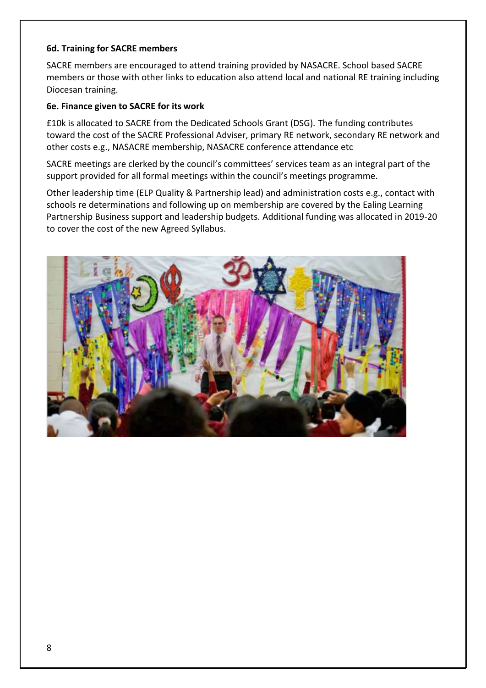#### <span id="page-7-0"></span>**6d. Training for SACRE members**

SACRE members are encouraged to attend training provided by NASACRE. School based SACRE members or those with other links to education also attend local and national RE training including Diocesan training.

#### <span id="page-7-1"></span>**6e. Finance given to SACRE for its work**

£10k is allocated to SACRE from the Dedicated Schools Grant (DSG). The funding contributes toward the cost of the SACRE Professional Adviser, primary RE network, secondary RE network and other costs e.g., NASACRE membership, NASACRE conference attendance etc

SACRE meetings are clerked by the council's committees' services team as an integral part of the support provided for all formal meetings within the council's meetings programme.

Other leadership time (ELP Quality & Partnership lead) and administration costs e.g., contact with schools re determinations and following up on membership are covered by the Ealing Learning Partnership Business support and leadership budgets. Additional funding was allocated in 2019-20 to cover the cost of the new Agreed Syllabus.

<span id="page-7-2"></span>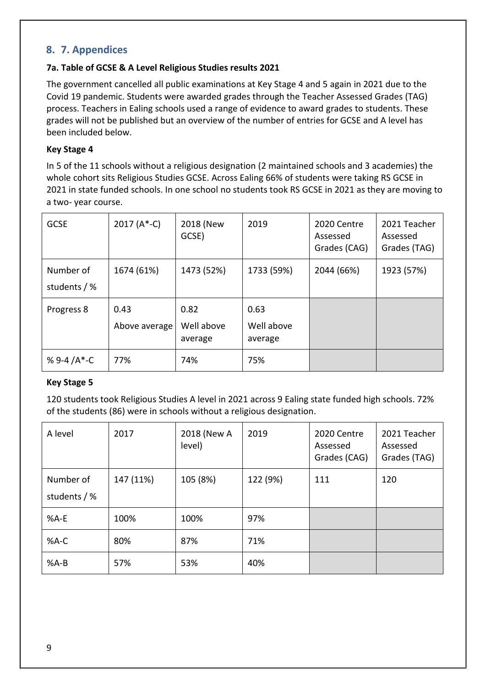## **8. 7. Appendices**

#### <span id="page-8-0"></span>**7a. Table of GCSE & A Level Religious Studies results 2021**

The government cancelled all public examinations at Key Stage 4 and 5 again in 2021 due to the Covid 19 pandemic. Students were awarded grades through the Teacher Assessed Grades (TAG) process. Teachers in Ealing schools used a range of evidence to award grades to students. These grades will not be published but an overview of the number of entries for GCSE and A level has been included below.

#### **Key Stage 4**

In 5 of the 11 schools without a religious designation (2 maintained schools and 3 academies) the whole cohort sits Religious Studies GCSE. Across Ealing 66% of students were taking RS GCSE in 2021 in state funded schools. In one school no students took RS GCSE in 2021 as they are moving to a two- year course.

| <b>GCSE</b>               | 2017 $(A*-C)$         | 2018 (New<br>GCSE)            | 2019                          | 2020 Centre<br>Assessed<br>Grades (CAG) | 2021 Teacher<br>Assessed<br>Grades (TAG) |
|---------------------------|-----------------------|-------------------------------|-------------------------------|-----------------------------------------|------------------------------------------|
| Number of<br>students / % | 1674 (61%)            | 1473 (52%)                    | 1733 (59%)                    | 2044 (66%)                              | 1923 (57%)                               |
| Progress 8                | 0.43<br>Above average | 0.82<br>Well above<br>average | 0.63<br>Well above<br>average |                                         |                                          |
| % 9-4 / $A^*$ -C          | 77%                   | 74%                           | 75%                           |                                         |                                          |

#### **Key Stage 5**

120 students took Religious Studies A level in 2021 across 9 Ealing state funded high schools. 72% of the students (86) were in schools without a religious designation.

| A level                   | 2017      | 2018 (New A<br>level) | 2019     | 2020 Centre<br>Assessed<br>Grades (CAG) | 2021 Teacher<br>Assessed<br>Grades (TAG) |
|---------------------------|-----------|-----------------------|----------|-----------------------------------------|------------------------------------------|
| Number of<br>students / % | 147 (11%) | 105 (8%)              | 122 (9%) | 111                                     | 120                                      |
| %A-E                      | 100%      | 100%                  | 97%      |                                         |                                          |
| %A-C                      | 80%       | 87%                   | 71%      |                                         |                                          |
| $%A-B$                    | 57%       | 53%                   | 40%      |                                         |                                          |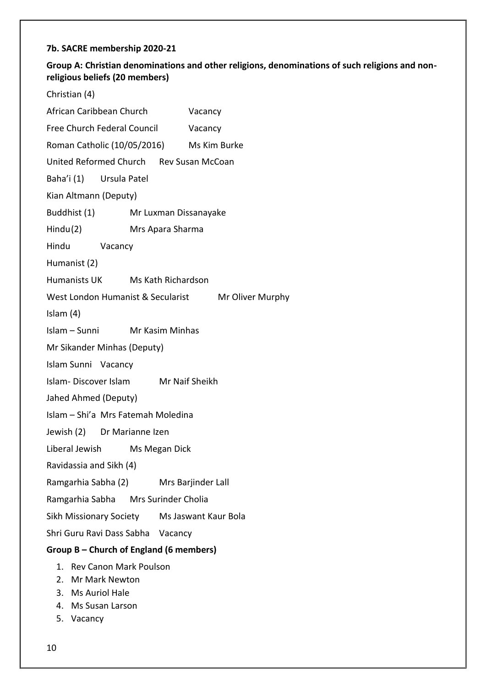## <span id="page-9-0"></span>**7b. SACRE membership 2020-21**

## **Group A: Christian denominations and other religions, denominations of such religions and nonreligious beliefs (20 members)**

Christian (4)

| African Caribbean Church                     |                       | Vacancy |                  |
|----------------------------------------------|-----------------------|---------|------------------|
| Free Church Federal Council                  |                       | Vacancy |                  |
| Roman Catholic (10/05/2016) Ms Kim Burke     |                       |         |                  |
| United Reformed Church Rev Susan McCoan      |                       |         |                  |
| Baha'i (1) Ursula Patel                      |                       |         |                  |
| Kian Altmann (Deputy)                        |                       |         |                  |
| Buddhist (1)                                 | Mr Luxman Dissanayake |         |                  |
| Hindu(2)                                     | Mrs Apara Sharma      |         |                  |
| Hindu Vacancy                                |                       |         |                  |
| Humanist (2)                                 |                       |         |                  |
| Humanists UK Ms Kath Richardson              |                       |         |                  |
| West London Humanist & Secularist            |                       |         | Mr Oliver Murphy |
| Islam $(4)$                                  |                       |         |                  |
| Islam - Sunni Mr Kasim Minhas                |                       |         |                  |
| Mr Sikander Minhas (Deputy)                  |                       |         |                  |
| Islam Sunni Vacancy                          |                       |         |                  |
| Islam-Discover Islam Mr Naif Sheikh          |                       |         |                  |
| Jahed Ahmed (Deputy)                         |                       |         |                  |
| Islam - Shi'a Mrs Fatemah Moledina           |                       |         |                  |
| Jewish (2) Dr Marianne Izen                  |                       |         |                  |
| Liberal Jewish                               | Ms Megan Dick         |         |                  |
| Ravidassia and Sikh (4)                      |                       |         |                  |
| Ramgarhia Sabha (2) Mrs Barjinder Lall       |                       |         |                  |
| Ramgarhia Sabha Mrs Surinder Cholia          |                       |         |                  |
| Sikh Missionary Society Ms Jaswant Kaur Bola |                       |         |                  |
| Shri Guru Ravi Dass Sabha Vacancy            |                       |         |                  |
| Group B – Church of England (6 members)      |                       |         |                  |
| <b>Rev Canon Mark Poulson</b><br>1.          |                       |         |                  |
| 2. Mr Mark Newton                            |                       |         |                  |
| 3. Ms Auriol Hale<br>4. Ms Susan Larson      |                       |         |                  |
|                                              |                       |         |                  |

5. Vacancy